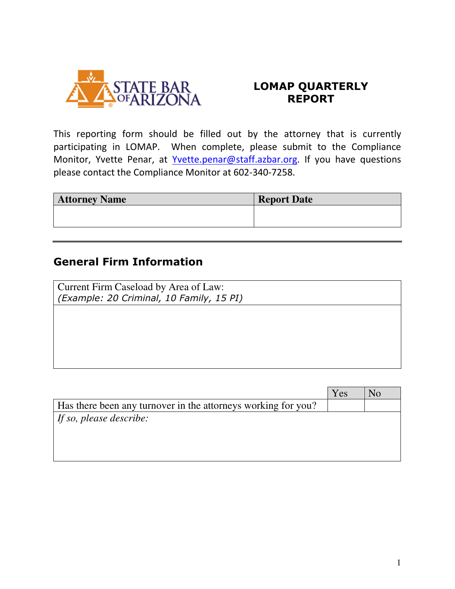

### LOMAP QUARTERLY REPORT

This reporting form should be filled out by the attorney that is currently participating in LOMAP. When complete, please submit to the Compliance Monitor, Yvette Penar, at Yvette.penar@staff.azbar.org. If you have questions please contact the Compliance Monitor at 602-340-7258.

| <b>Attorney Name</b> | <b>Report Date</b> |
|----------------------|--------------------|
|                      |                    |
|                      |                    |

### General Firm Information

| Current Firm Caseload by Area of Law:<br>(Example: 20 Criminal, 10 Family, 15 PI) |
|-----------------------------------------------------------------------------------|
|                                                                                   |
|                                                                                   |
|                                                                                   |

|                                                               | Yes | No |
|---------------------------------------------------------------|-----|----|
| Has there been any turnover in the attorneys working for you? |     |    |
| $\vert$ If so, please describe:                               |     |    |
|                                                               |     |    |
|                                                               |     |    |
|                                                               |     |    |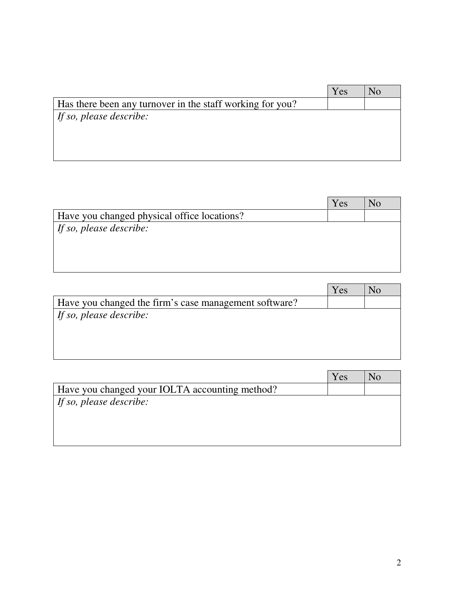|                                                           | Yes | N <sub>0</sub> |
|-----------------------------------------------------------|-----|----------------|
| Has there been any turnover in the staff working for you? |     |                |
| If so, please describe:                                   |     |                |
|                                                           |     |                |
|                                                           |     |                |
|                                                           |     |                |

|                                             | Yes | N <sub>0</sub> |
|---------------------------------------------|-----|----------------|
| Have you changed physical office locations? |     |                |
| If so, please describe:                     |     |                |
|                                             |     |                |
|                                             |     |                |
|                                             |     |                |

|                                                       | Yes |  |
|-------------------------------------------------------|-----|--|
| Have you changed the firm's case management software? |     |  |
| $\vert$ If so, please describe:                       |     |  |
|                                                       |     |  |
|                                                       |     |  |
|                                                       |     |  |

|                                                | Yes | No |
|------------------------------------------------|-----|----|
| Have you changed your IOLTA accounting method? |     |    |
| If so, please describe:                        |     |    |
|                                                |     |    |
|                                                |     |    |
|                                                |     |    |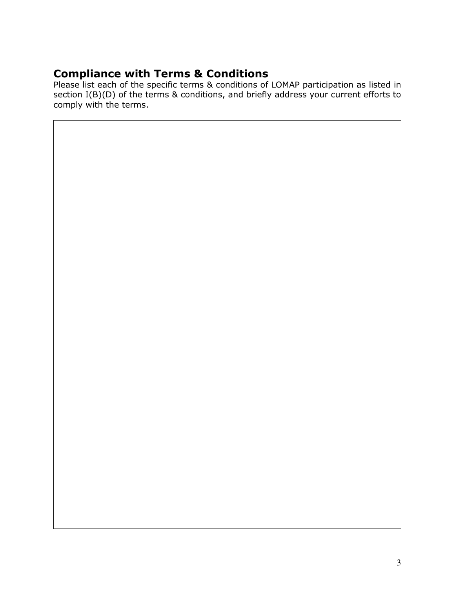### Compliance with Terms & Conditions

Please list each of the specific terms & conditions of LOMAP participation as listed in section I(B)(D) of the terms & conditions, and briefly address your current efforts to comply with the terms.